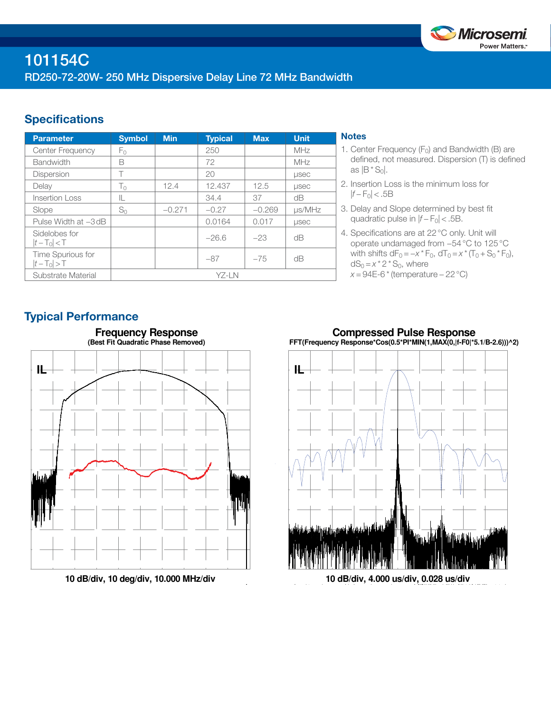

## **Specifications**

| <b>Parameter</b>                 | <b>Symbol</b> | <b>Min</b> | <b>Typical</b> | <b>Max</b> | <b>Unit</b>  |
|----------------------------------|---------------|------------|----------------|------------|--------------|
| <b>Center Frequency</b>          | Fο            |            | 250            |            | <b>MHz</b>   |
| <b>Bandwidth</b>                 | B             |            | 72             |            | MHz          |
| <b>Dispersion</b>                | Т             |            | 20             |            | <b>LISEC</b> |
| Delay                            | $T_0$         | 12.4       | 12.437         | 12.5       | <b>LISEC</b> |
| Insertion Loss                   | IL            |            | 34.4           | 37         | dB           |
| Slope                            | $S_0$         | $-0.271$   | $-0.27$        | $-0.269$   | $\mu$ s/MHz  |
| Pulse Width at -3 dB             |               |            | 0.0164         | 0.017      | <b>LISEC</b> |
| Sidelobes for<br>$ t-T_0  < T$   |               |            | $-26.6$        | $-23$      | dΒ           |
| Time Spurious for<br>$ t-T_0 >T$ |               |            | $-87$          | $-75$      | dΒ           |
| Substrate Material               | YZ-LN         |            |                |            |              |

### **Notes**

- 1. Center Frequency  $(F_0)$  and Bandwidth (B) are defined, not measured. Dispersion (T) is defined as  $|B * S_0|$ .
- 2. Insertion Loss is the minimum loss for |*f* − F0| < .5B
- 3. Delay and Slope determined by best fit quadratic pulse in  $|f - F_0|$  < .5B.
- 4. Specifications are at 22°C only. Unit will operate undamaged from −54°C to 125°C with shifts  $dF_0 = -x * F_0$ ,  $dT_0 = x * (T_0 + S_0 * F_0)$ ,  $dS_0 = x^* 2^* S_0$ , where *x* = 94E-6 \* (temperature – 22 °C)

## Typical Performance



**10 dB/div, 10 deg/div, 10.000 MHz/div**





**10 dB/div, 4.000 us/div, 0.028 us/div**